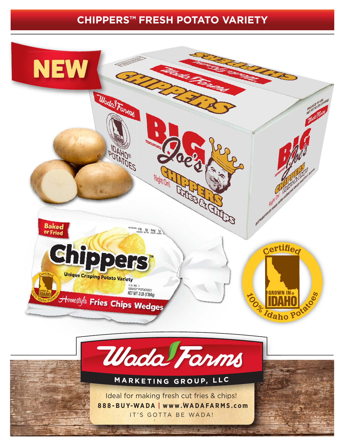## **CHIPPERS™ FRESH POTATO VARIETY**